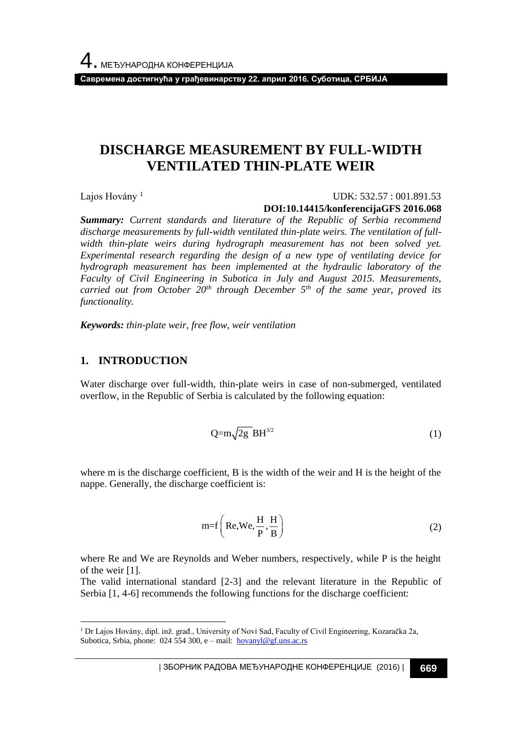**Савремена достигнућа у грађевинарству 22. април 2016. Суботица, СРБИЈА**

# **DISCHARGE MEASUREMENT BY FULL-WIDTH VENTILATED THIN-PLATE WEIR**

Lajos Hovány<sup>1</sup>

#### UDK: 532.57 : 001.891.53 **DOI:10.14415/konferencijaGFS 2016.068**

*Summary: Current standards and literature of the Republic of Serbia recommend discharge measurements by full-width ventilated thin-plate weirs. The ventilation of full*width thin-plate weirs during hydrograph measurement has not been solved yet. *Experimental research regarding the design of a new type of ventilating device for hydrograph measurement has been implemented at the hydraulic laboratory of the Faculty of Civil Engineering in Subotica in July and August 2015. Measurements, carried out from October 20th through December 5th of the same year, proved its functionality.*

*Keywords: thin-plate weir, free flow, weir ventilation* 

### **1. INTRODUCTION**

l

Water discharge over full-width, thin-plate weirs in case of non-submerged, ventilated overflow, in the Republic of Serbia is calculated by the following equation:

$$
Q=m\sqrt{2g} BH^{3/2}
$$
 (1)

where m is the discharge coefficient, B is the width of the weir and H is the height of the nappe. Generally, the discharge coefficient is:

$$
m=f\left(\text{Re}, \text{We}, \frac{\text{H}}{\text{P}}, \frac{\text{H}}{\text{B}}\right) \tag{2}
$$

where Re and We are Reynolds and Weber numbers, respectively, while P is the height of the weir [1].

The valid international standard [2-3] and the relevant literature in the Republic of Serbia [1, 4-6] recommends the following functions for the discharge coefficient:

<sup>1</sup> Dr Lajos Hovány, dipl. inž. građ., University of Novi Sad, Faculty of Civil Engineering, Kozaračka 2a, Subotica, Srbia, phone: 024 554 300, e – mail:  $hovanyl@gf.uns.ac.rs$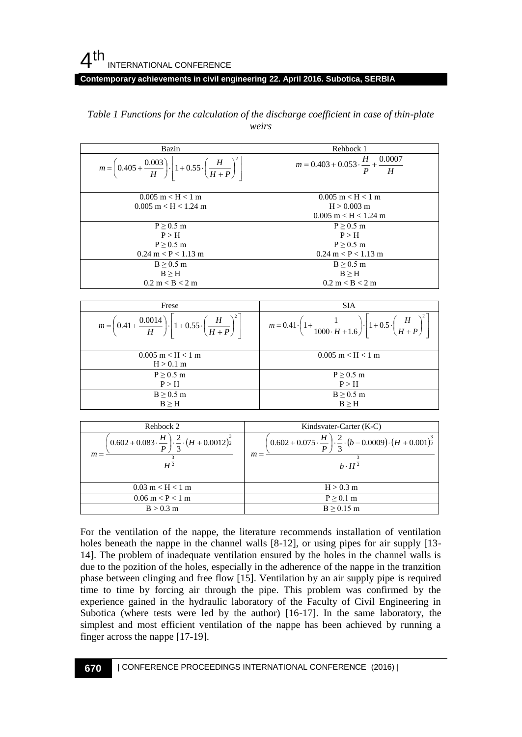#### **Contemporary achievements in civil engineering 22. April 2016. Subotica, SERBIA**

| Bazin                                                                                                     | Rehbock 1                                                              |
|-----------------------------------------------------------------------------------------------------------|------------------------------------------------------------------------|
| $m = \left(0.405 + \frac{0.003}{H}\right) \cdot \left[1 + 0.55 \cdot \left(\frac{H}{H+P}\right)^2\right]$ | $m = 0.403 + 0.053 \cdot \frac{H}{P} + \frac{0.0007}{H}$               |
| $0.005 \text{ m} < H < 1 \text{ m}$<br>$0.005$ m $<$ H $<$ 1.24 m                                         | $0.005$ m $<$ H $<$ 1 m<br>$H > 0.003$ m<br>$0.005$ m $<$ H $<$ 1.24 m |
| $P > 0.5$ m                                                                                               | $P > 0.5$ m                                                            |
| P > H                                                                                                     | P > H                                                                  |
| $P > 0.5$ m                                                                                               | $P > 0.5$ m                                                            |
| $0.24 \text{ m} < P < 1.13 \text{ m}$                                                                     | $0.24 \text{ m} < P < 1.13 \text{ m}$                                  |
| $B > 0.5$ m                                                                                               | $B \geq 0.5$ m                                                         |
| B > H                                                                                                     | B > H                                                                  |
| $0.2 \text{ m} < B < 2 \text{ m}$                                                                         | $0.2 \text{ m} < B < 2 \text{ m}$                                      |

#### *Table 1 Functions for the calculation of the discharge coefficient in case of thin-plate weirs*

| Frese                                                                                                     | <b>SIA</b>                                                                                                                     |
|-----------------------------------------------------------------------------------------------------------|--------------------------------------------------------------------------------------------------------------------------------|
| $m = \left(0.41 + \frac{0.0014}{H}\right) \cdot \left 1 + 0.55 \cdot \left(\frac{H}{H+P}\right)^2\right $ | $m = 0.41 \cdot \left(1 + \frac{1}{1000 \cdot H + 1.6}\right) \cdot \left 1 + 0.5 \cdot \left(\frac{H}{H + P}\right)^2\right $ |
| $0.005 \text{ m} < H < 1 \text{ m}$<br>$H > 0.1$ m                                                        | $0.005$ m $<$ H $<$ 1 m                                                                                                        |
| $P \geq 0.5$ m<br>P > H                                                                                   | $P \geq 0.5$ m<br>P > H                                                                                                        |
| $B \geq 0.5$ m<br>$B \geq H$                                                                              | $B \geq 0.5$ m<br>$B \geq H$                                                                                                   |

| Rehbock 2                                                                                                                      | Kindsvater-Carter (K-C)                                                                                                                                             |
|--------------------------------------------------------------------------------------------------------------------------------|---------------------------------------------------------------------------------------------------------------------------------------------------------------------|
| $\left(0.602 + 0.083 \cdot \frac{H}{P}\right) \cdot \frac{2}{3} \cdot \left(H + 0.0012\right)^{\frac{3}{2}}$<br>$m =$<br>$H^2$ | $\left(0.602 + 0.075 \cdot \frac{H}{P}\right) \cdot \frac{2}{3} \cdot \left(b - 0.0009\right) \cdot \left(H + 0.001\right)^{\frac{3}{2}}$<br>$m =$<br>$h \cdot H^2$ |
| $0.03 \text{ m} < H < 1 \text{ m}$                                                                                             | $H > 0.3$ m                                                                                                                                                         |
| $0.06 \text{ m} < P < 1 \text{ m}$                                                                                             | $P \geq 0.1$ m                                                                                                                                                      |
| $B > 0.3$ m                                                                                                                    | $B \geq 0.15$ m                                                                                                                                                     |

For the ventilation of the nappe, the literature recommends installation of ventilation holes beneath the nappe in the channel walls [8-12], or using pipes for air supply [13-14]. The problem of inadequate ventilation ensured by the holes in the channel walls is due to the pozition of the holes, especially in the adherence of the nappe in the tranzition phase between clinging and free flow [15]. Ventilation by an air supply pipe is required time to time by forcing air through the pipe. This problem was confirmed by the experience gained in the hydraulic laboratory of the Faculty of Civil Engineering in Subotica (where tests were led by the author) [16-17]. In the same laboratory, the simplest and most efficient ventilation of the nappe has been achieved by running a finger across the nappe [17-19].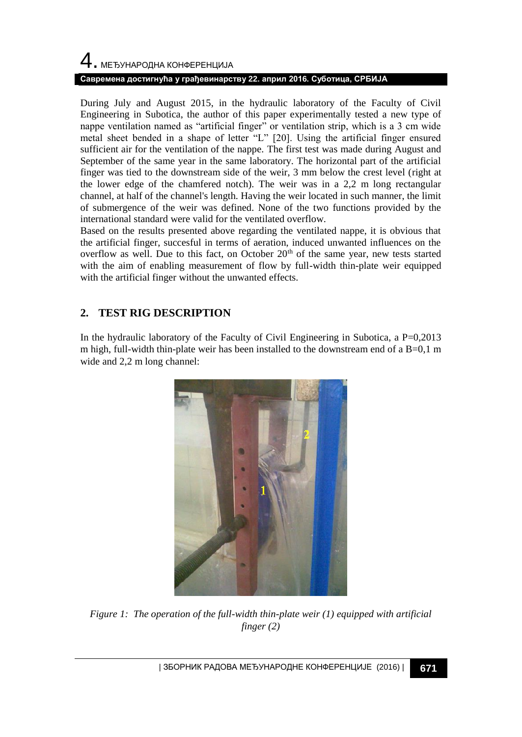# 4. МЕЂУНАРОДНА КОНФЕРЕНЦИЈА **Савремена достигнућа у грађевинарству 22. април 2016. Суботица, СРБИЈА**

During July and August 2015, in the hydraulic laboratory of the Faculty of Civil Engineering in Subotica, the author of this paper experimentally tested a new type of nappe ventilation named as "artificial finger" or ventilation strip, which is a 3 cm wide metal sheet bended in a shape of letter "L" [20]. Using the artificial finger ensured sufficient air for the ventilation of the nappe. The first test was made during August and September of the same year in the same laboratory. The horizontal part of the artificial finger was tied to the downstream side of the weir, 3 mm below the crest level (right at the lower edge of the chamfered notch). The weir was in a 2,2 m long rectangular channel, at half of the channel's length. Having the weir located in such manner, the limit of submergence of the weir was defined. None of the two functions provided by the international standard were valid for the ventilated overflow.

Based on the results presented above regarding the ventilated nappe, it is obvious that the artificial finger, succesful in terms of aeration, induced unwanted influences on the overflow as well. Due to this fact, on October 20<sup>th</sup> of the same year, new tests started with the aim of enabling measurement of flow by full-width thin-plate weir equipped with the artificial finger without the unwanted effects.

# **2. TEST RIG DESCRIPTION**

In the hydraulic laboratory of the Faculty of Civil Engineering in Subotica, a  $P=0,2013$ m high, full-width thin-plate weir has been installed to the downstream end of a  $B=0.1$  m wide and 2,2 m long channel:



*Figure 1: The operation of the full-width thin-plate weir (1) equipped with artificial finger (2)*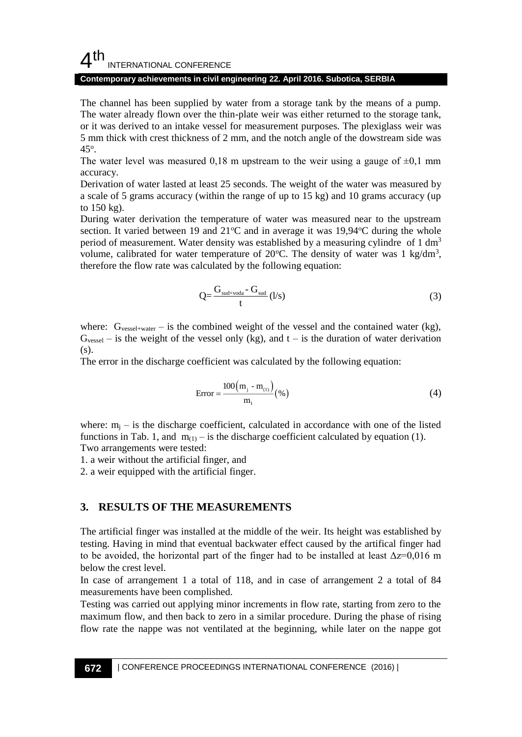## $4<sup>th</sup>$ INTERNATIONAL CONFERENCE

#### **Contemporary achievements in civil engineering 22. April 2016. Subotica, SERBIA**

The channel has been supplied by water from a storage tank by the means of a pump. The water already flown over the thin-plate weir was either returned to the storage tank, or it was derived to an intake vessel for measurement purposes. The plexiglass weir was 5 mm thick with crest thickness of 2 mm, and the notch angle of the dowstream side was  $45^\circ$ .

The water level was measured 0,18 m upstream to the weir using a gauge of  $\pm 0.1$  mm accuracy.

Derivation of water lasted at least 25 seconds. The weight of the water was measured by a scale of 5 grams accuracy (within the range of up to 15 kg) and 10 grams accuracy (up to 150 kg).

During water derivation the temperature of water was measured near to the upstream section. It varied between 19 and  $21^{\circ}$ C and in average it was 19,94 $^{\circ}$ C during the whole period of measurement. Water density was established by a measuring cylindre of 1  $\text{dm}^3$ volume, calibrated for water temperature of 20 $^{\circ}$ C. The density of water was 1 kg/dm<sup>3</sup>, therefore the flow rate was calculated by the following equation:

$$
Q = \frac{G_{\text{sud}+\text{voda}} - G_{\text{sud}}}{t} \left( \frac{1}{s} \right) \tag{3}
$$

where:  $G_{\text{vessel+water}}$  – is the combined weight of the vessel and the contained water (kg),  $G_{\text{vessel}}$  – is the weight of the vessel only (kg), and t – is the duration of water derivation (s).

The error in the discharge coefficient was calculated by the following equation:

$$
Error = \frac{100(m_j - m_{(1)})}{m_1} (\%) \tag{4}
$$

where:  $m_i$  – is the discharge coefficient, calculated in accordance with one of the listed functions in Tab. 1, and  $m_{(1)}$  – is the discharge coefficient calculated by equation (1). Two arrangements were tested:

1. a weir without the artificial finger, and

2. a weir equipped with the artificial finger.

### **3. RESULTS OF THE MEASUREMENTS**

The artificial finger was installed at the middle of the weir. Its height was established by testing. Having in mind that eventual backwater effect caused by the artifical finger had to be avoided, the horizontal part of the finger had to be installed at least  $\Delta z = 0.016$  m below the crest level.

In case of arrangement 1 a total of 118, and in case of arrangement 2 a total of 84 measurements have been complished.

Testing was carried out applying minor increments in flow rate, starting from zero to the maximum flow, and then back to zero in a similar procedure. During the phase of rising flow rate the nappe was not ventilated at the beginning, while later on the nappe got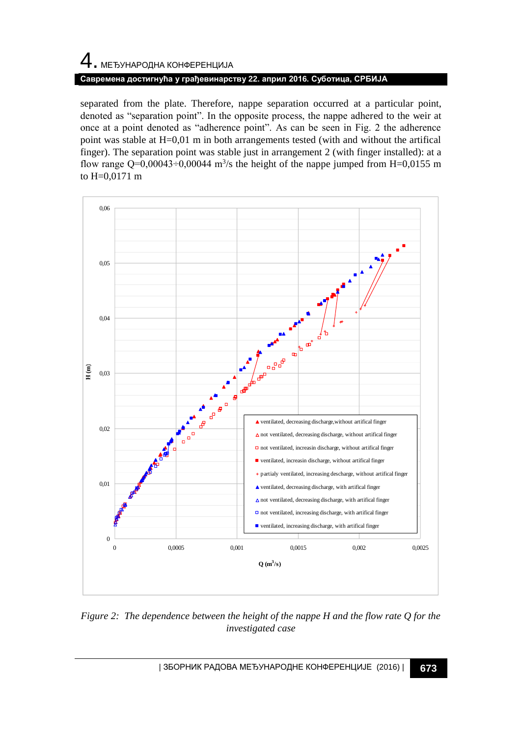# 4. МЕЂУНАРОДНА КОНФЕРЕНЦИЈА **Савремена достигнућа у грађевинарству 22. април 2016. Суботица, СРБИЈА**

separated from the plate. Therefore, nappe separation occurred at a particular point, denoted as "separation point". In the opposite process, the nappe adhered to the weir at once at a point denoted as "adherence point". As can be seen in Fig. 2 the adherence point was stable at H=0,01 m in both arrangements tested (with and without the artifical finger). The separation point was stable just in arrangement 2 (with finger installed): at a flow range  $Q=0,00043\div0,00044$  m<sup>3</sup>/s the height of the nappe jumped from H=0,0155 m to H=0,0171 m



*Figure 2: The dependence between the height of the nappe H and the flow rate Q for the investigated case*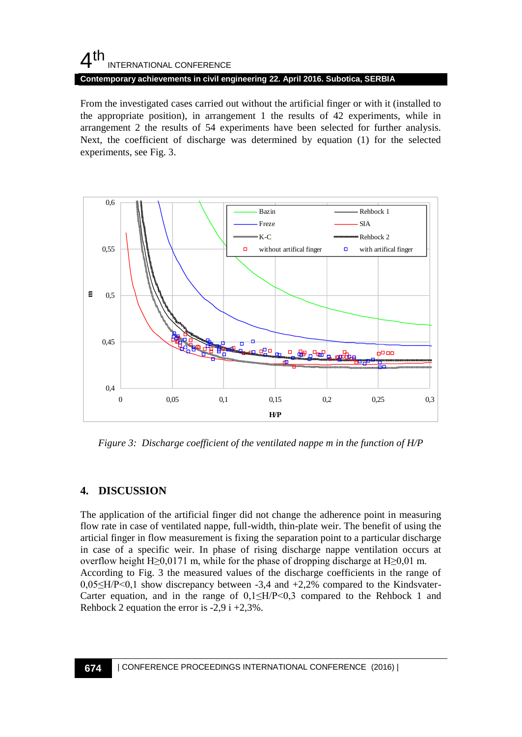# $4<sup>th</sup>$ INTERNATIONAL CONFERENCE

**Contemporary achievements in civil engineering 22. April 2016. Subotica, SERBIA**

From the investigated cases carried out without the artificial finger or with it (installed to the appropriate position), in arrangement 1 the results of 42 experiments, while in arrangement 2 the results of 54 experiments have been selected for further analysis. Next, the coefficient of discharge was determined by equation (1) for the selected experiments, see Fig. 3.



*Figure 3: Discharge coefficient of the ventilated nappe m in the function of H/P*

## **4. DISCUSSION**

The application of the artificial finger did not change the adherence point in measuring flow rate in case of ventilated nappe, full-width, thin-plate weir. The benefit of using the articial finger in flow measurement is fixing the separation point to a particular discharge in case of a specific weir. In phase of rising discharge nappe ventilation occurs at overflow height H≥0,0171 m, while for the phase of dropping discharge at H≥0,01 m. According to Fig. 3 the measured values of the discharge coefficients in the range of 0,05≤H/P<0,1 show discrepancy between -3,4 and +2,2% compared to the Kindsvater-Carter equation, and in the range of  $0,1 \leq H/P \leq 0,3$  compared to the Rehbock 1 and Rehbock 2 equation the error is  $-2.9$  i  $+2.3\%$ .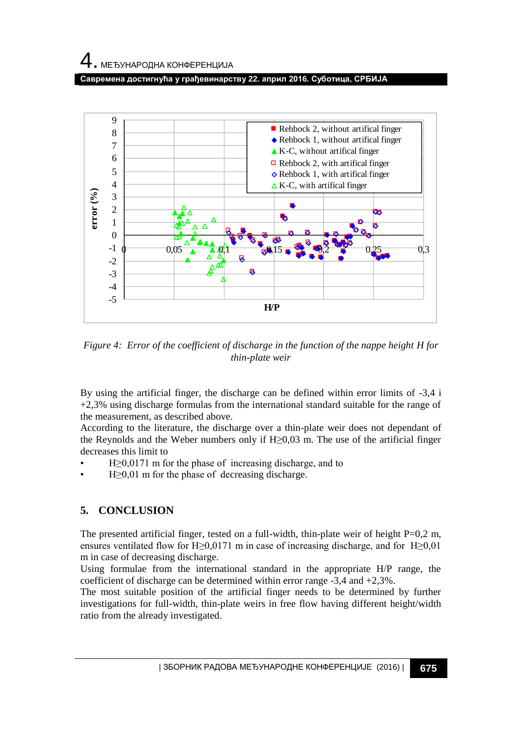**Савремена достигнућа у грађевинарству 22. април 2016. Суботица, СРБИЈА**



*Figure 4: Error of the coefficient of discharge in the function of the nappe height H for thin-plate weir*

By using the artificial finger, the discharge can be defined within error limits of -3,4 i +2,3% using discharge formulas from the international standard suitable for the range of the measurement, as described above.

According to the literature, the discharge over a thin-plate weir does not dependant of the Reynolds and the Weber numbers only if  $H \ge 0.03$  m. The use of the artificial finger decreases this limit to

- $H \geq 0.0171$  m for the phase of increasing discharge, and to
- $H \geq 0.01$  m for the phase of decreasing discharge.

## **5. CONCLUSION**

The presented artificial finger, tested on a full-width, thin-plate weir of height  $P=0,2$  m, ensures ventilated flow for H≥0,0171 m in case of increasing discharge, and for H≥0,01 m in case of decreasing discharge.

Using formulae from the international standard in the appropriate H/P range, the coefficient of discharge can be determined within error range -3,4 and +2,3%.

The most suitable position of the artificial finger needs to be determined by further investigations for full-width, thin-plate weirs in free flow having different height/width ratio from the already investigated.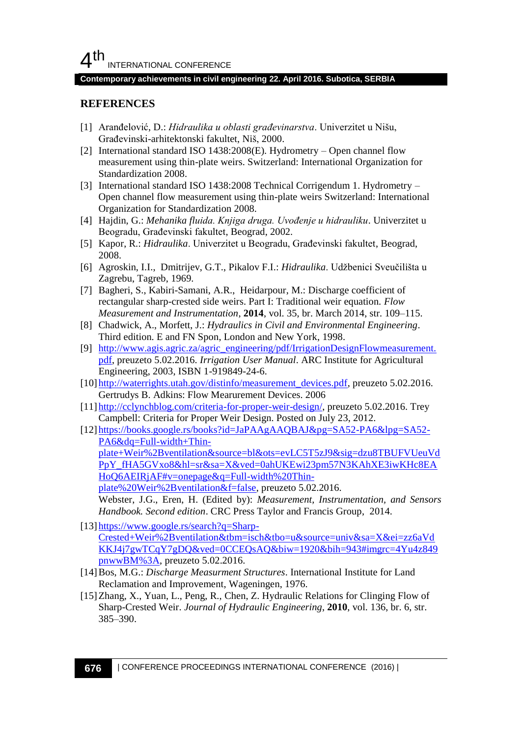#### **Contemporary achievements in civil engineering 22. April 2016. Subotica, SERBIA**

## **REFERENCES**

- [1] Aranđelović, D.: *Hidraulika u oblasti građevinarstva*. Univerzitet u Nišu, Građevinski-arhitektonski fakultet, Niš, 2000.
- [2] International standard ISO 1438:2008(E). Hydrometry Open channel flow measurement using thin-plate weirs. Switzerland: International Organization for Standardization 2008.
- [3] International standard ISO 1438:2008 Technical Corrigendum 1. Hydrometry Open channel flow measurement using thin-plate weirs Switzerland: International Organization for Standardization 2008.
- [4] Hajdin, G.: *Mehanika fluida. Knjiga druga. Uvođenje u hidrauliku*. Univerzitet u Beogradu, Građevinski fakultet, Beograd, 2002.
- [5] Kapor, R.: *Hidraulika*. Univerzitet u Beogradu, Građevinski fakultet, Beograd, 2008.
- [6] Agroskin, I.I., Dmitrijev, G.T., Pikalov F.I.: *Hidraulika*. Udžbenici Sveučilišta u Zagrebu, Tagreb, 1969.
- [7] Bagheri, S., Kabiri-Samani, A.R., Heidarpour, M.: Discharge coefficient of rectangular sharp-crested side weirs. Part I: Traditional weir equation. *Flow Measurement and Instrumentation*, **2014**, vol. 35, br. March 2014, str. 109–115.
- [8] Chadwick, A., Morfett, J.: *Hydraulics in Civil and Environmental Engineering*. Third edition. E and FN Spon, London and New York, 1998.
- [9] [http://www.agis.agric.za/agric\\_engineering/pdf/IrrigationDesignFlowmeasurement.](http://www.agis.agric.za/agric_engineering/pdf/IrrigationDesignFlowmeasurement.pdf) [pdf,](http://www.agis.agric.za/agric_engineering/pdf/IrrigationDesignFlowmeasurement.pdf) preuzeto 5.02.2016. *Irrigation User Manual*. ARC Institute for Agricultural Engineering, 2003, ISBN 1-919849-24-6.
- [10] [http://waterrights.utah.gov/distinfo/measurement\\_devices.pdf,](http://waterrights.utah.gov/distinfo/measurement_devices.pdf) preuzeto 5.02.2016. Gertrudys B. Adkins: Flow Mearurement Devices. 2006
- [11] [http://cclynchblog.com/criteria-for-proper-weir-design/,](http://cclynchblog.com/criteria-for-proper-weir-design/) preuzeto 5.02.2016. Trey Campbell: Criteria for Proper Weir Design. Posted on July 23, 2012.
- [12] [https://books.google.rs/books?id=JaPAAgAAQBAJ&pg=SA52-PA6&lpg=SA52-](https://books.google.rs/books?id=JaPAAgAAQBAJ&pg=SA52-PA6&lpg=SA52-PA6&dq=Full-width+Thin-plate+Weir%2Bventilation&source=bl&ots=evLC5T5zJ9&sig=dzu8TBUFVUeuVdPpY_fHA5GVxo8&hl=sr&sa=X&ved=0ahUKEwi23pm57N3KAhXE3iwKHc8EAHoQ6AEIRjAF#v=onepage&q=Full-width%20Thin-plate%20Weir%2Bventilation&f=false) [PA6&dq=Full-width+Thin](https://books.google.rs/books?id=JaPAAgAAQBAJ&pg=SA52-PA6&lpg=SA52-PA6&dq=Full-width+Thin-plate+Weir%2Bventilation&source=bl&ots=evLC5T5zJ9&sig=dzu8TBUFVUeuVdPpY_fHA5GVxo8&hl=sr&sa=X&ved=0ahUKEwi23pm57N3KAhXE3iwKHc8EAHoQ6AEIRjAF#v=onepage&q=Full-width%20Thin-plate%20Weir%2Bventilation&f=false)[plate+Weir%2Bventilation&source=bl&ots=evLC5T5zJ9&sig=dzu8TBUFVUeuVd](https://books.google.rs/books?id=JaPAAgAAQBAJ&pg=SA52-PA6&lpg=SA52-PA6&dq=Full-width+Thin-plate+Weir%2Bventilation&source=bl&ots=evLC5T5zJ9&sig=dzu8TBUFVUeuVdPpY_fHA5GVxo8&hl=sr&sa=X&ved=0ahUKEwi23pm57N3KAhXE3iwKHc8EAHoQ6AEIRjAF#v=onepage&q=Full-width%20Thin-plate%20Weir%2Bventilation&f=false) [PpY\\_fHA5GVxo8&hl=sr&sa=X&ved=0ahUKEwi23pm57N3KAhXE3iwKHc8EA](https://books.google.rs/books?id=JaPAAgAAQBAJ&pg=SA52-PA6&lpg=SA52-PA6&dq=Full-width+Thin-plate+Weir%2Bventilation&source=bl&ots=evLC5T5zJ9&sig=dzu8TBUFVUeuVdPpY_fHA5GVxo8&hl=sr&sa=X&ved=0ahUKEwi23pm57N3KAhXE3iwKHc8EAHoQ6AEIRjAF#v=onepage&q=Full-width%20Thin-plate%20Weir%2Bventilation&f=false) [HoQ6AEIRjAF#v=onepage&q=Full-width%20Thin](https://books.google.rs/books?id=JaPAAgAAQBAJ&pg=SA52-PA6&lpg=SA52-PA6&dq=Full-width+Thin-plate+Weir%2Bventilation&source=bl&ots=evLC5T5zJ9&sig=dzu8TBUFVUeuVdPpY_fHA5GVxo8&hl=sr&sa=X&ved=0ahUKEwi23pm57N3KAhXE3iwKHc8EAHoQ6AEIRjAF#v=onepage&q=Full-width%20Thin-plate%20Weir%2Bventilation&f=false)[plate%20Weir%2Bventilation&f=false,](https://books.google.rs/books?id=JaPAAgAAQBAJ&pg=SA52-PA6&lpg=SA52-PA6&dq=Full-width+Thin-plate+Weir%2Bventilation&source=bl&ots=evLC5T5zJ9&sig=dzu8TBUFVUeuVdPpY_fHA5GVxo8&hl=sr&sa=X&ved=0ahUKEwi23pm57N3KAhXE3iwKHc8EAHoQ6AEIRjAF#v=onepage&q=Full-width%20Thin-plate%20Weir%2Bventilation&f=false) preuzeto 5.02.2016. Webster, J.G., Eren, H. (Edited by): *Measurement, Instrumentation, and Sensors Handbook. Second edition*. CRC Press Taylor and Francis Group, 2014.
- [13] [https://www.google.rs/search?q=Sharp-](https://www.google.rs/search?q=Sharp-Crested+Weir%2Bventilation&tbm=isch&tbo=u&source=univ&sa=X&ei=zz6aVdKKJ4j7gwTCqY7gDQ&ved=0CCEQsAQ&biw=1920&bih=943#imgrc=4Yu4z849pnwwBM%3A)[Crested+Weir%2Bventilation&tbm=isch&tbo=u&source=univ&sa=X&ei=zz6aVd](https://www.google.rs/search?q=Sharp-Crested+Weir%2Bventilation&tbm=isch&tbo=u&source=univ&sa=X&ei=zz6aVdKKJ4j7gwTCqY7gDQ&ved=0CCEQsAQ&biw=1920&bih=943#imgrc=4Yu4z849pnwwBM%3A) [KKJ4j7gwTCqY7gDQ&ved=0CCEQsAQ&biw=1920&bih=943#imgrc=4Yu4z849](https://www.google.rs/search?q=Sharp-Crested+Weir%2Bventilation&tbm=isch&tbo=u&source=univ&sa=X&ei=zz6aVdKKJ4j7gwTCqY7gDQ&ved=0CCEQsAQ&biw=1920&bih=943#imgrc=4Yu4z849pnwwBM%3A) [pnwwBM%3A,](https://www.google.rs/search?q=Sharp-Crested+Weir%2Bventilation&tbm=isch&tbo=u&source=univ&sa=X&ei=zz6aVdKKJ4j7gwTCqY7gDQ&ved=0CCEQsAQ&biw=1920&bih=943#imgrc=4Yu4z849pnwwBM%3A) preuzeto 5.02.2016.
- [14]Bos, M.G.: *Discharge Measurment Structures*. International Institute for Land Reclamation and Improvement, Wageningen, 1976.
- [15]Zhang, X., Yuan, L., Peng, R., Chen, Z. Hydraulic Relations for Clinging Flow of Sharp-Crested Weir. *Journal of Hydraulic Engineering*, **2010**, vol. 136, br. 6, str. 385–390.